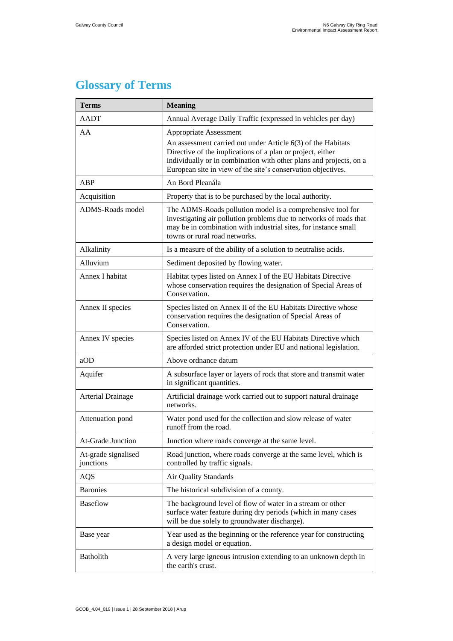## **Glossary of Terms**

| <b>Terms</b>                     | <b>Meaning</b>                                                                                                                                                                                                                                                                             |
|----------------------------------|--------------------------------------------------------------------------------------------------------------------------------------------------------------------------------------------------------------------------------------------------------------------------------------------|
| <b>AADT</b>                      | Annual Average Daily Traffic (expressed in vehicles per day)                                                                                                                                                                                                                               |
| AA                               | Appropriate Assessment<br>An assessment carried out under Article 6(3) of the Habitats<br>Directive of the implications of a plan or project, either<br>individually or in combination with other plans and projects, on a<br>European site in view of the site's conservation objectives. |
| ABP                              | An Bord Pleanála                                                                                                                                                                                                                                                                           |
| Acquisition                      | Property that is to be purchased by the local authority.                                                                                                                                                                                                                                   |
| ADMS-Roads model                 | The ADMS-Roads pollution model is a comprehensive tool for<br>investigating air pollution problems due to networks of roads that<br>may be in combination with industrial sites, for instance small<br>towns or rural road networks.                                                       |
| Alkalinity                       | Is a measure of the ability of a solution to neutralise acids.                                                                                                                                                                                                                             |
| Alluvium                         | Sediment deposited by flowing water.                                                                                                                                                                                                                                                       |
| Annex I habitat                  | Habitat types listed on Annex I of the EU Habitats Directive<br>whose conservation requires the designation of Special Areas of<br>Conservation.                                                                                                                                           |
| Annex II species                 | Species listed on Annex II of the EU Habitats Directive whose<br>conservation requires the designation of Special Areas of<br>Conservation.                                                                                                                                                |
| Annex IV species                 | Species listed on Annex IV of the EU Habitats Directive which<br>are afforded strict protection under EU and national legislation.                                                                                                                                                         |
| aOD                              | Above ordnance datum                                                                                                                                                                                                                                                                       |
| Aquifer                          | A subsurface layer or layers of rock that store and transmit water<br>in significant quantities.                                                                                                                                                                                           |
| <b>Arterial Drainage</b>         | Artificial drainage work carried out to support natural drainage<br>networks.                                                                                                                                                                                                              |
| Attenuation pond                 | Water pond used for the collection and slow release of water<br>runoff from the road.                                                                                                                                                                                                      |
| At-Grade Junction                | Junction where roads converge at the same level.                                                                                                                                                                                                                                           |
| At-grade signalised<br>junctions | Road junction, where roads converge at the same level, which is<br>controlled by traffic signals.                                                                                                                                                                                          |
| AQS                              | Air Quality Standards                                                                                                                                                                                                                                                                      |
| <b>Baronies</b>                  | The historical subdivision of a county.                                                                                                                                                                                                                                                    |
| <b>Baseflow</b>                  | The background level of flow of water in a stream or other<br>surface water feature during dry periods (which in many cases<br>will be due solely to groundwater discharge).                                                                                                               |
| Base year                        | Year used as the beginning or the reference year for constructing<br>a design model or equation.                                                                                                                                                                                           |
| <b>Batholith</b>                 | A very large igneous intrusion extending to an unknown depth in<br>the earth's crust.                                                                                                                                                                                                      |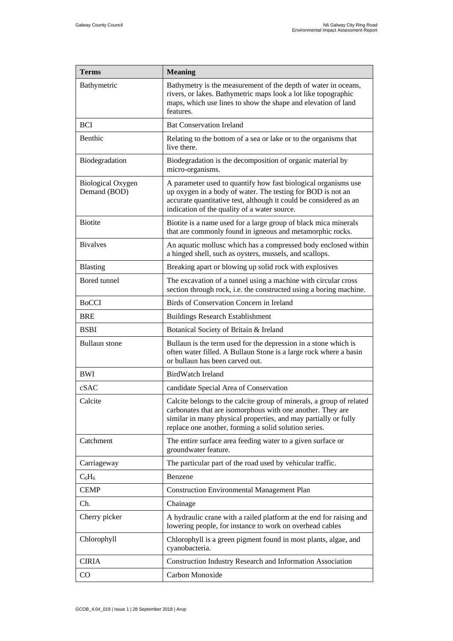| <b>Terms</b>                             | <b>Meaning</b>                                                                                                                                                                                                                                                 |
|------------------------------------------|----------------------------------------------------------------------------------------------------------------------------------------------------------------------------------------------------------------------------------------------------------------|
| Bathymetric                              | Bathymetry is the measurement of the depth of water in oceans,<br>rivers, or lakes. Bathymetric maps look a lot like topographic<br>maps, which use lines to show the shape and elevation of land<br>features.                                                 |
| <b>BCI</b>                               | <b>Bat Conservation Ireland</b>                                                                                                                                                                                                                                |
| Benthic                                  | Relating to the bottom of a sea or lake or to the organisms that<br>live there.                                                                                                                                                                                |
| Biodegradation                           | Biodegradation is the decomposition of organic material by<br>micro-organisms.                                                                                                                                                                                 |
| <b>Biological Oxygen</b><br>Demand (BOD) | A parameter used to quantify how fast biological organisms use<br>up oxygen in a body of water. The testing for BOD is not an<br>accurate quantitative test, although it could be considered as an<br>indication of the quality of a water source.             |
| <b>Biotite</b>                           | Biotite is a name used for a large group of black mica minerals<br>that are commonly found in igneous and metamorphic rocks.                                                                                                                                   |
| <b>Bivalves</b>                          | An aquatic mollusc which has a compressed body enclosed within<br>a hinged shell, such as oysters, mussels, and scallops.                                                                                                                                      |
| Blasting                                 | Breaking apart or blowing up solid rock with explosives                                                                                                                                                                                                        |
| Bored tunnel                             | The excavation of a tunnel using a machine with circular cross<br>section through rock, i.e. the constructed using a boring machine.                                                                                                                           |
| <b>BoCCI</b>                             | Birds of Conservation Concern in Ireland                                                                                                                                                                                                                       |
| <b>BRE</b>                               | <b>Buildings Research Establishment</b>                                                                                                                                                                                                                        |
| <b>BSBI</b>                              | Botanical Society of Britain & Ireland                                                                                                                                                                                                                         |
| <b>Bullaun</b> stone                     | Bullaun is the term used for the depression in a stone which is<br>often water filled. A Bullaun Stone is a large rock where a basin<br>or bullaun has been carved out.                                                                                        |
| BWI                                      | BirdWatch Ireland                                                                                                                                                                                                                                              |
| cSAC                                     | candidate Special Area of Conservation                                                                                                                                                                                                                         |
| Calcite                                  | Calcite belongs to the calcite group of minerals, a group of related<br>carbonates that are isomorphous with one another. They are<br>similar in many physical properties, and may partially or fully<br>replace one another, forming a solid solution series. |
| Catchment                                | The entire surface area feeding water to a given surface or<br>groundwater feature.                                                                                                                                                                            |
| Carriageway                              | The particular part of the road used by vehicular traffic.                                                                                                                                                                                                     |
| $C_6H_6$                                 | Benzene                                                                                                                                                                                                                                                        |
| <b>CEMP</b>                              | <b>Construction Environmental Management Plan</b>                                                                                                                                                                                                              |
| Ch.                                      | Chainage                                                                                                                                                                                                                                                       |
| Cherry picker                            | A hydraulic crane with a railed platform at the end for raising and<br>lowering people, for instance to work on overhead cables                                                                                                                                |
| Chlorophyll                              | Chlorophyll is a green pigment found in most plants, algae, and<br>cyanobacteria.                                                                                                                                                                              |
| <b>CIRIA</b>                             | Construction Industry Research and Information Association                                                                                                                                                                                                     |
| $\rm CO$                                 | Carbon Monoxide                                                                                                                                                                                                                                                |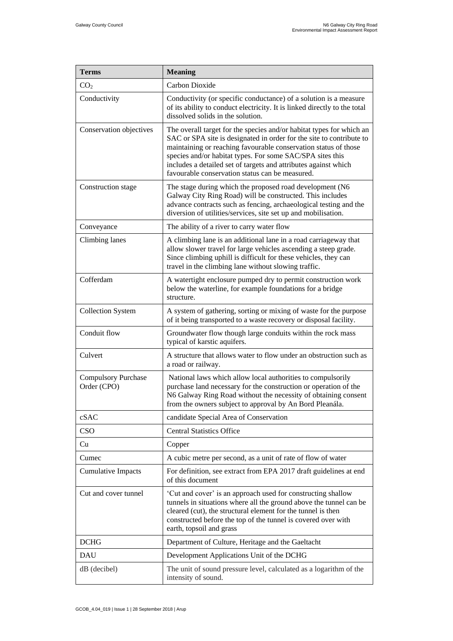| <b>Terms</b>                              | <b>Meaning</b>                                                                                                                                                                                                                                                                                                                                                                                     |
|-------------------------------------------|----------------------------------------------------------------------------------------------------------------------------------------------------------------------------------------------------------------------------------------------------------------------------------------------------------------------------------------------------------------------------------------------------|
| CO <sub>2</sub>                           | Carbon Dioxide                                                                                                                                                                                                                                                                                                                                                                                     |
| Conductivity                              | Conductivity (or specific conductance) of a solution is a measure<br>of its ability to conduct electricity. It is linked directly to the total<br>dissolved solids in the solution.                                                                                                                                                                                                                |
| Conservation objectives                   | The overall target for the species and/or habitat types for which an<br>SAC or SPA site is designated in order for the site to contribute to<br>maintaining or reaching favourable conservation status of those<br>species and/or habitat types. For some SAC/SPA sites this<br>includes a detailed set of targets and attributes against which<br>favourable conservation status can be measured. |
| Construction stage                        | The stage during which the proposed road development (N6<br>Galway City Ring Road) will be constructed. This includes<br>advance contracts such as fencing, archaeological testing and the<br>diversion of utilities/services, site set up and mobilisation.                                                                                                                                       |
| Conveyance                                | The ability of a river to carry water flow                                                                                                                                                                                                                                                                                                                                                         |
| Climbing lanes                            | A climbing lane is an additional lane in a road carriageway that<br>allow slower travel for large vehicles ascending a steep grade.<br>Since climbing uphill is difficult for these vehicles, they can<br>travel in the climbing lane without slowing traffic.                                                                                                                                     |
| Cofferdam                                 | A watertight enclosure pumped dry to permit construction work<br>below the waterline, for example foundations for a bridge<br>structure.                                                                                                                                                                                                                                                           |
| <b>Collection System</b>                  | A system of gathering, sorting or mixing of waste for the purpose<br>of it being transported to a waste recovery or disposal facility.                                                                                                                                                                                                                                                             |
| Conduit flow                              | Groundwater flow though large conduits within the rock mass<br>typical of karstic aquifers.                                                                                                                                                                                                                                                                                                        |
| Culvert                                   | A structure that allows water to flow under an obstruction such as<br>a road or railway.                                                                                                                                                                                                                                                                                                           |
| <b>Compulsory Purchase</b><br>Order (CPO) | National laws which allow local authorities to compulsorily<br>purchase land necessary for the construction or operation of the<br>N6 Galway Ring Road without the necessity of obtaining consent<br>from the owners subject to approval by An Bord Pleanála.                                                                                                                                      |
| cSAC                                      | candidate Special Area of Conservation                                                                                                                                                                                                                                                                                                                                                             |
| CSO                                       | <b>Central Statistics Office</b>                                                                                                                                                                                                                                                                                                                                                                   |
| Cu                                        | Copper                                                                                                                                                                                                                                                                                                                                                                                             |
| Cumec                                     | A cubic metre per second, as a unit of rate of flow of water                                                                                                                                                                                                                                                                                                                                       |
| <b>Cumulative Impacts</b>                 | For definition, see extract from EPA 2017 draft guidelines at end<br>of this document                                                                                                                                                                                                                                                                                                              |
| Cut and cover tunnel                      | 'Cut and cover' is an approach used for constructing shallow<br>tunnels in situations where all the ground above the tunnel can be<br>cleared (cut), the structural element for the tunnel is then<br>constructed before the top of the tunnel is covered over with<br>earth, topsoil and grass                                                                                                    |
| <b>DCHG</b>                               | Department of Culture, Heritage and the Gaeltacht                                                                                                                                                                                                                                                                                                                                                  |
| <b>DAU</b>                                | Development Applications Unit of the DCHG                                                                                                                                                                                                                                                                                                                                                          |
| dB (decibel)                              | The unit of sound pressure level, calculated as a logarithm of the<br>intensity of sound.                                                                                                                                                                                                                                                                                                          |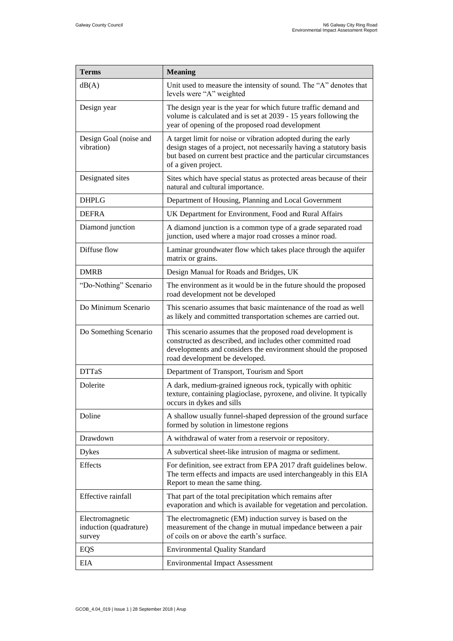| <b>Terms</b>                                        | <b>Meaning</b>                                                                                                                                                                                                                       |
|-----------------------------------------------------|--------------------------------------------------------------------------------------------------------------------------------------------------------------------------------------------------------------------------------------|
| dB(A)                                               | Unit used to measure the intensity of sound. The "A" denotes that<br>levels were "A" weighted                                                                                                                                        |
| Design year                                         | The design year is the year for which future traffic demand and<br>volume is calculated and is set at 2039 - 15 years following the<br>year of opening of the proposed road development                                              |
| Design Goal (noise and<br>vibration)                | A target limit for noise or vibration adopted during the early<br>design stages of a project, not necessarily having a statutory basis<br>but based on current best practice and the particular circumstances<br>of a given project. |
| Designated sites                                    | Sites which have special status as protected areas because of their<br>natural and cultural importance.                                                                                                                              |
| <b>DHPLG</b>                                        | Department of Housing, Planning and Local Government                                                                                                                                                                                 |
| <b>DEFRA</b>                                        | UK Department for Environment, Food and Rural Affairs                                                                                                                                                                                |
| Diamond junction                                    | A diamond junction is a common type of a grade separated road<br>junction, used where a major road crosses a minor road.                                                                                                             |
| Diffuse flow                                        | Laminar groundwater flow which takes place through the aquifer<br>matrix or grains.                                                                                                                                                  |
| <b>DMRB</b>                                         | Design Manual for Roads and Bridges, UK                                                                                                                                                                                              |
| "Do-Nothing" Scenario                               | The environment as it would be in the future should the proposed<br>road development not be developed                                                                                                                                |
| Do Minimum Scenario                                 | This scenario assumes that basic maintenance of the road as well<br>as likely and committed transportation schemes are carried out.                                                                                                  |
| Do Something Scenario                               | This scenario assumes that the proposed road development is<br>constructed as described, and includes other committed road<br>developments and considers the environment should the proposed<br>road development be developed.       |
| <b>DTTaS</b>                                        | Department of Transport, Tourism and Sport                                                                                                                                                                                           |
| Dolerite                                            | A dark, medium-grained igneous rock, typically with ophitic<br>texture, containing plagioclase, pyroxene, and olivine. It typically<br>occurs in dykes and sills                                                                     |
| Doline                                              | A shallow usually funnel-shaped depression of the ground surface<br>formed by solution in limestone regions                                                                                                                          |
| Drawdown                                            | A withdrawal of water from a reservoir or repository.                                                                                                                                                                                |
| <b>Dykes</b>                                        | A subvertical sheet-like intrusion of magma or sediment.                                                                                                                                                                             |
| <b>Effects</b>                                      | For definition, see extract from EPA 2017 draft guidelines below.<br>The term effects and impacts are used interchangeably in this EIA<br>Report to mean the same thing.                                                             |
| <b>Effective rainfall</b>                           | That part of the total precipitation which remains after<br>evaporation and which is available for vegetation and percolation.                                                                                                       |
| Electromagnetic<br>induction (quadrature)<br>survey | The electromagnetic (EM) induction survey is based on the<br>measurement of the change in mutual impedance between a pair<br>of coils on or above the earth's surface.                                                               |
| EQS                                                 | <b>Environmental Quality Standard</b>                                                                                                                                                                                                |
| EIA                                                 | <b>Environmental Impact Assessment</b>                                                                                                                                                                                               |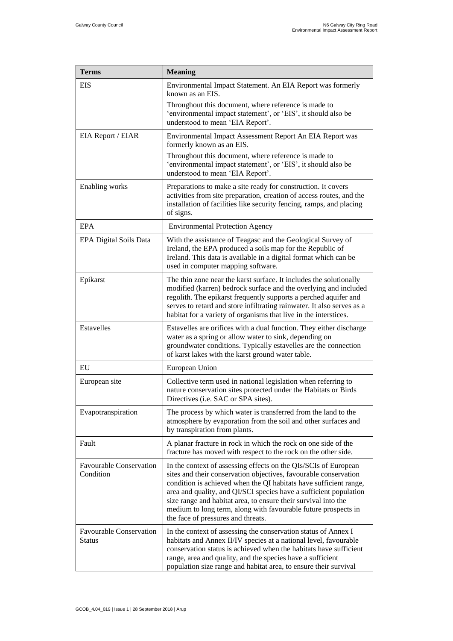| <b>Terms</b>                             | <b>Meaning</b>                                                                                                                                                                                                                                                                                                                                                                                                                                          |
|------------------------------------------|---------------------------------------------------------------------------------------------------------------------------------------------------------------------------------------------------------------------------------------------------------------------------------------------------------------------------------------------------------------------------------------------------------------------------------------------------------|
| <b>EIS</b>                               | Environmental Impact Statement. An EIA Report was formerly<br>known as an EIS.                                                                                                                                                                                                                                                                                                                                                                          |
|                                          | Throughout this document, where reference is made to<br>'environmental impact statement', or 'EIS', it should also be<br>understood to mean 'EIA Report'.                                                                                                                                                                                                                                                                                               |
| EIA Report / EIAR                        | Environmental Impact Assessment Report An EIA Report was<br>formerly known as an EIS.                                                                                                                                                                                                                                                                                                                                                                   |
|                                          | Throughout this document, where reference is made to<br>'environmental impact statement', or 'EIS', it should also be<br>understood to mean 'EIA Report'.                                                                                                                                                                                                                                                                                               |
| Enabling works                           | Preparations to make a site ready for construction. It covers<br>activities from site preparation, creation of access routes, and the<br>installation of facilities like security fencing, ramps, and placing<br>of signs.                                                                                                                                                                                                                              |
| EPA                                      | <b>Environmental Protection Agency</b>                                                                                                                                                                                                                                                                                                                                                                                                                  |
| EPA Digital Soils Data                   | With the assistance of Teagasc and the Geological Survey of<br>Ireland, the EPA produced a soils map for the Republic of<br>Ireland. This data is available in a digital format which can be<br>used in computer mapping software.                                                                                                                                                                                                                      |
| Epikarst                                 | The thin zone near the karst surface. It includes the solutionally<br>modified (karren) bedrock surface and the overlying and included<br>regolith. The epikarst frequently supports a perched aquifer and<br>serves to retard and store infiltrating rainwater. It also serves as a<br>habitat for a variety of organisms that live in the interstices.                                                                                                |
| Estavelles                               | Estavelles are orifices with a dual function. They either discharge<br>water as a spring or allow water to sink, depending on<br>groundwater conditions. Typically estavelles are the connection<br>of karst lakes with the karst ground water table.                                                                                                                                                                                                   |
| EU                                       | European Union                                                                                                                                                                                                                                                                                                                                                                                                                                          |
| European site                            | Collective term used in national legislation when referring to<br>nature conservation sites protected under the Habitats or Birds<br>Directives (i.e. SAC or SPA sites).                                                                                                                                                                                                                                                                                |
| Evapotranspiration                       | The process by which water is transferred from the land to the<br>atmosphere by evaporation from the soil and other surfaces and<br>by transpiration from plants.                                                                                                                                                                                                                                                                                       |
| Fault                                    | A planar fracture in rock in which the rock on one side of the<br>fracture has moved with respect to the rock on the other side.                                                                                                                                                                                                                                                                                                                        |
| Favourable Conservation<br>Condition     | In the context of assessing effects on the QIs/SCIs of European<br>sites and their conservation objectives, favourable conservation<br>condition is achieved when the QI habitats have sufficient range,<br>area and quality, and QI/SCI species have a sufficient population<br>size range and habitat area, to ensure their survival into the<br>medium to long term, along with favourable future prospects in<br>the face of pressures and threats. |
| <b>Favourable Conservation</b><br>Status | In the context of assessing the conservation status of Annex I<br>habitats and Annex II/IV species at a national level, favourable<br>conservation status is achieved when the habitats have sufficient<br>range, area and quality, and the species have a sufficient<br>population size range and habitat area, to ensure their survival                                                                                                               |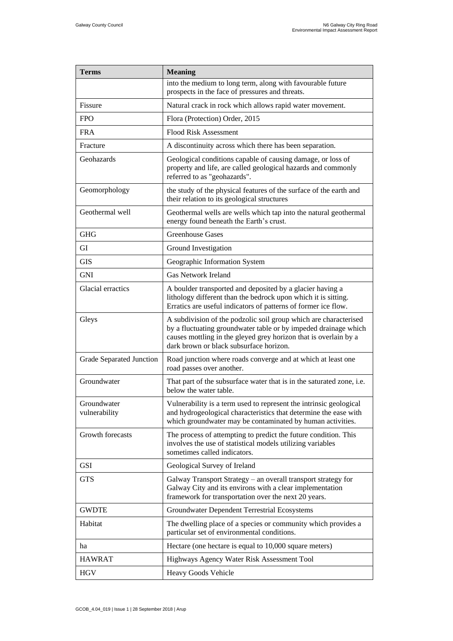| <b>Terms</b>                    | <b>Meaning</b>                                                                                                                                                                                                                                     |
|---------------------------------|----------------------------------------------------------------------------------------------------------------------------------------------------------------------------------------------------------------------------------------------------|
|                                 | into the medium to long term, along with favourable future<br>prospects in the face of pressures and threats.                                                                                                                                      |
| Fissure                         | Natural crack in rock which allows rapid water movement.                                                                                                                                                                                           |
| <b>FPO</b>                      | Flora (Protection) Order, 2015                                                                                                                                                                                                                     |
| <b>FRA</b>                      | <b>Flood Risk Assessment</b>                                                                                                                                                                                                                       |
| Fracture                        | A discontinuity across which there has been separation.                                                                                                                                                                                            |
| Geohazards                      | Geological conditions capable of causing damage, or loss of<br>property and life, are called geological hazards and commonly<br>referred to as "geohazards".                                                                                       |
| Geomorphology                   | the study of the physical features of the surface of the earth and<br>their relation to its geological structures                                                                                                                                  |
| Geothermal well                 | Geothermal wells are wells which tap into the natural geothermal<br>energy found beneath the Earth's crust.                                                                                                                                        |
| <b>GHG</b>                      | <b>Greenhouse Gases</b>                                                                                                                                                                                                                            |
| GI                              | Ground Investigation                                                                                                                                                                                                                               |
| GIS                             | Geographic Information System                                                                                                                                                                                                                      |
| <b>GNI</b>                      | <b>Gas Network Ireland</b>                                                                                                                                                                                                                         |
| Glacial erractics               | A boulder transported and deposited by a glacier having a<br>lithology different than the bedrock upon which it is sitting.<br>Erratics are useful indicators of patterns of former ice flow.                                                      |
| Gleys                           | A subdivision of the podzolic soil group which are characterised<br>by a fluctuating groundwater table or by impeded drainage which<br>causes mottling in the gleyed grey horizon that is overlain by a<br>dark brown or black subsurface horizon. |
| <b>Grade Separated Junction</b> | Road junction where roads converge and at which at least one<br>road passes over another.                                                                                                                                                          |
| Groundwater                     | That part of the subsurface water that is in the saturated zone, i.e.<br>below the water table.                                                                                                                                                    |
| Groundwater<br>vulnerability    | Vulnerability is a term used to represent the intrinsic geological<br>and hydrogeological characteristics that determine the ease with<br>which groundwater may be contaminated by human activities.                                               |
| Growth forecasts                | The process of attempting to predict the future condition. This<br>involves the use of statistical models utilizing variables<br>sometimes called indicators.                                                                                      |
| <b>GSI</b>                      | Geological Survey of Ireland                                                                                                                                                                                                                       |
| <b>GTS</b>                      | Galway Transport Strategy - an overall transport strategy for<br>Galway City and its environs with a clear implementation<br>framework for transportation over the next 20 years.                                                                  |
| <b>GWDTE</b>                    | Groundwater Dependent Terrestrial Ecosystems                                                                                                                                                                                                       |
| Habitat                         | The dwelling place of a species or community which provides a<br>particular set of environmental conditions.                                                                                                                                       |
| ha                              | Hectare (one hectare is equal to 10,000 square meters)                                                                                                                                                                                             |
| <b>HAWRAT</b>                   | Highways Agency Water Risk Assessment Tool                                                                                                                                                                                                         |
| <b>HGV</b>                      | Heavy Goods Vehicle                                                                                                                                                                                                                                |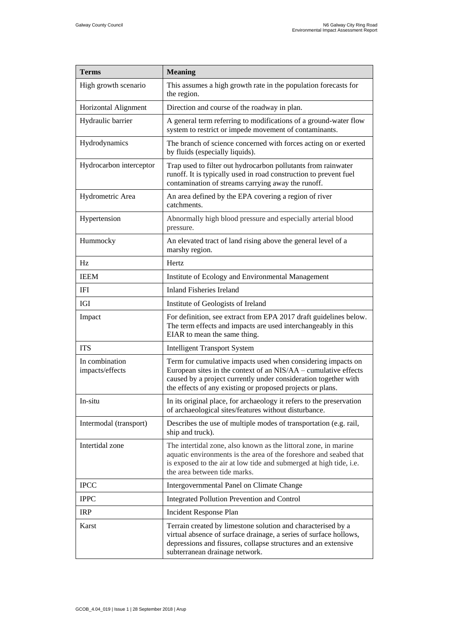| <b>Terms</b>                      | <b>Meaning</b>                                                                                                                                                                                                                                                   |
|-----------------------------------|------------------------------------------------------------------------------------------------------------------------------------------------------------------------------------------------------------------------------------------------------------------|
| High growth scenario              | This assumes a high growth rate in the population forecasts for<br>the region.                                                                                                                                                                                   |
| Horizontal Alignment              | Direction and course of the roadway in plan.                                                                                                                                                                                                                     |
| Hydraulic barrier                 | A general term referring to modifications of a ground-water flow<br>system to restrict or impede movement of contaminants.                                                                                                                                       |
| Hydrodynamics                     | The branch of science concerned with forces acting on or exerted<br>by fluids (especially liquids).                                                                                                                                                              |
| Hydrocarbon interceptor           | Trap used to filter out hydrocarbon pollutants from rainwater<br>runoff. It is typically used in road construction to prevent fuel<br>contamination of streams carrying away the runoff.                                                                         |
| Hydrometric Area                  | An area defined by the EPA covering a region of river<br>catchments.                                                                                                                                                                                             |
| Hypertension                      | Abnormally high blood pressure and especially arterial blood<br>pressure.                                                                                                                                                                                        |
| Hummocky                          | An elevated tract of land rising above the general level of a<br>marshy region.                                                                                                                                                                                  |
| Hz                                | Hertz                                                                                                                                                                                                                                                            |
| <b>IEEM</b>                       | Institute of Ecology and Environmental Management                                                                                                                                                                                                                |
| <b>IFI</b>                        | <b>Inland Fisheries Ireland</b>                                                                                                                                                                                                                                  |
| IGI                               | Institute of Geologists of Ireland                                                                                                                                                                                                                               |
| Impact                            | For definition, see extract from EPA 2017 draft guidelines below.<br>The term effects and impacts are used interchangeably in this<br>EIAR to mean the same thing.                                                                                               |
| <b>ITS</b>                        | <b>Intelligent Transport System</b>                                                                                                                                                                                                                              |
| In combination<br>impacts/effects | Term for cumulative impacts used when considering impacts on<br>European sites in the context of an NIS/AA – cumulative effects<br>caused by a project currently under consideration together with<br>the effects of any existing or proposed projects or plans. |
| In-situ                           | In its original place, for archaeology it refers to the preservation<br>of archaeological sites/features without disturbance.                                                                                                                                    |
| Intermodal (transport)            | Describes the use of multiple modes of transportation (e.g. rail,<br>ship and truck).                                                                                                                                                                            |
| Intertidal zone                   | The intertidal zone, also known as the littoral zone, in marine<br>aquatic environments is the area of the foreshore and seabed that<br>is exposed to the air at low tide and submerged at high tide, i.e.<br>the area between tide marks.                       |
| <b>IPCC</b>                       | Intergovernmental Panel on Climate Change                                                                                                                                                                                                                        |
| <b>IPPC</b>                       | <b>Integrated Pollution Prevention and Control</b>                                                                                                                                                                                                               |
| <b>IRP</b>                        | Incident Response Plan                                                                                                                                                                                                                                           |
| Karst                             | Terrain created by limestone solution and characterised by a<br>virtual absence of surface drainage, a series of surface hollows,<br>depressions and fissures, collapse structures and an extensive<br>subterranean drainage network.                            |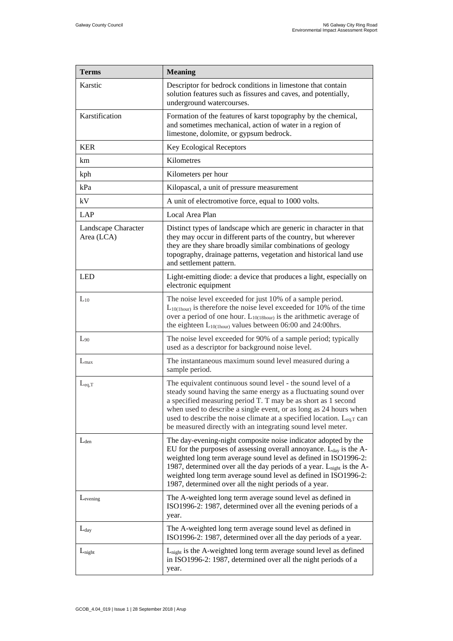| <b>Terms</b>                      | <b>Meaning</b>                                                                                                                                                                                                                                                                                                                                                                                                          |
|-----------------------------------|-------------------------------------------------------------------------------------------------------------------------------------------------------------------------------------------------------------------------------------------------------------------------------------------------------------------------------------------------------------------------------------------------------------------------|
| Karstic                           | Descriptor for bedrock conditions in limestone that contain<br>solution features such as fissures and caves, and potentially,<br>underground watercourses.                                                                                                                                                                                                                                                              |
| Karstification                    | Formation of the features of karst topography by the chemical,<br>and sometimes mechanical, action of water in a region of<br>limestone, dolomite, or gypsum bedrock.                                                                                                                                                                                                                                                   |
| <b>KER</b>                        | Key Ecological Receptors                                                                                                                                                                                                                                                                                                                                                                                                |
| km                                | Kilometres                                                                                                                                                                                                                                                                                                                                                                                                              |
| kph                               | Kilometers per hour                                                                                                                                                                                                                                                                                                                                                                                                     |
| kPa                               | Kilopascal, a unit of pressure measurement                                                                                                                                                                                                                                                                                                                                                                              |
| kV                                | A unit of electromotive force, equal to 1000 volts.                                                                                                                                                                                                                                                                                                                                                                     |
| LAP                               | Local Area Plan                                                                                                                                                                                                                                                                                                                                                                                                         |
| Landscape Character<br>Area (LCA) | Distinct types of landscape which are generic in character in that<br>they may occur in different parts of the country, but wherever<br>they are they share broadly similar combinations of geology<br>topography, drainage patterns, vegetation and historical land use<br>and settlement pattern.                                                                                                                     |
| <b>LED</b>                        | Light-emitting diode: a device that produces a light, especially on<br>electronic equipment                                                                                                                                                                                                                                                                                                                             |
| $L_{10}$                          | The noise level exceeded for just 10% of a sample period.<br>$L_{10(1 hour)}$ is therefore the noise level exceeded for 10% of the time<br>over a period of one hour. $L_{10(18 hour)}$ is the arithmetic average of<br>the eighteen $L_{10(1 hour)}$ values between 06:00 and 24:00hrs.                                                                                                                                |
| $L_{90}$                          | The noise level exceeded for 90% of a sample period; typically<br>used as a descriptor for background noise level.                                                                                                                                                                                                                                                                                                      |
| $L_{\text{max}}$                  | The instantaneous maximum sound level measured during a<br>sample period.                                                                                                                                                                                                                                                                                                                                               |
| $L_{eq,T}$                        | The equivalent continuous sound level - the sound level of a<br>steady sound having the same energy as a fluctuating sound over<br>a specified measuring period T. T may be as short as 1 second<br>when used to describe a single event, or as long as 24 hours when<br>used to describe the noise climate at a specified location. $L_{eq,T}$ can<br>be measured directly with an integrating sound level meter.      |
| $L_{den}$                         | The day-evening-night composite noise indicator adopted by the<br>EU for the purposes of assessing overall annoyance. $L_{day}$ is the A-<br>weighted long term average sound level as defined in ISO1996-2:<br>1987, determined over all the day periods of a year. $L_{night}$ is the A-<br>weighted long term average sound level as defined in ISO1996-2:<br>1987, determined over all the night periods of a year. |
| Levening                          | The A-weighted long term average sound level as defined in<br>ISO1996-2: 1987, determined over all the evening periods of a<br>year.                                                                                                                                                                                                                                                                                    |
| $L_{day}$                         | The A-weighted long term average sound level as defined in<br>ISO1996-2: 1987, determined over all the day periods of a year.                                                                                                                                                                                                                                                                                           |
| $L_{night}$                       | L <sub>night</sub> is the A-weighted long term average sound level as defined<br>in ISO1996-2: 1987, determined over all the night periods of a<br>year.                                                                                                                                                                                                                                                                |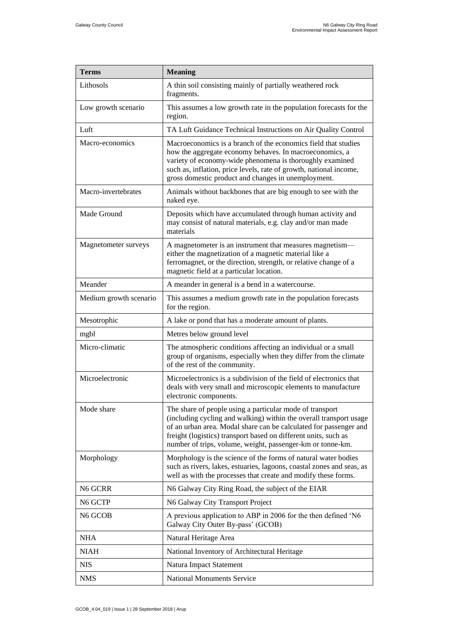| <b>Terms</b>           | <b>Meaning</b>                                                                                                                                                                                                                                                                                                                       |
|------------------------|--------------------------------------------------------------------------------------------------------------------------------------------------------------------------------------------------------------------------------------------------------------------------------------------------------------------------------------|
| Lithosols              | A thin soil consisting mainly of partially weathered rock<br>fragments.                                                                                                                                                                                                                                                              |
| Low growth scenario    | This assumes a low growth rate in the population forecasts for the<br>region.                                                                                                                                                                                                                                                        |
| Luft                   | TA Luft Guidance Technical Instructions on Air Quality Control                                                                                                                                                                                                                                                                       |
| Macro-economics        | Macroeconomics is a branch of the economics field that studies<br>how the aggregate economy behaves. In macroeconomics, a<br>variety of economy-wide phenomena is thoroughly examined<br>such as, inflation, price levels, rate of growth, national income,<br>gross domestic product and changes in unemployment.                   |
| Macro-invertebrates    | Animals without backbones that are big enough to see with the<br>naked eye.                                                                                                                                                                                                                                                          |
| Made Ground            | Deposits which have accumulated through human activity and<br>may consist of natural materials, e.g. clay and/or man made<br>materials                                                                                                                                                                                               |
| Magnetometer surveys   | A magnetometer is an instrument that measures magnetism-<br>either the magnetization of a magnetic material like a<br>ferromagnet, or the direction, strength, or relative change of a<br>magnetic field at a particular location.                                                                                                   |
| Meander                | A meander in general is a bend in a watercourse.                                                                                                                                                                                                                                                                                     |
| Medium growth scenario | This assumes a medium growth rate in the population forecasts<br>for the region.                                                                                                                                                                                                                                                     |
| Mesotrophic            | A lake or pond that has a moderate amount of plants.                                                                                                                                                                                                                                                                                 |
| mgbl                   | Metres below ground level                                                                                                                                                                                                                                                                                                            |
| Micro-climatic         | The atmospheric conditions affecting an individual or a small<br>group of organisms, especially when they differ from the climate<br>of the rest of the community.                                                                                                                                                                   |
| Microelectronic        | Microelectronics is a subdivision of the field of electronics that<br>deals with very small and microscopic elements to manufacture<br>electronic components.                                                                                                                                                                        |
| Mode share             | The share of people using a particular mode of transport<br>(including cycling and walking) within the overall transport usage<br>of an urban area. Modal share can be calculated for passenger and<br>freight (logistics) transport based on different units, such as<br>number of trips, volume, weight, passenger-km or tonne-km. |
| Morphology             | Morphology is the science of the forms of natural water bodies<br>such as rivers, lakes, estuaries, lagoons, coastal zones and seas, as<br>well as with the processes that create and modify these forms.                                                                                                                            |
| N6 GCRR                | N6 Galway City Ring Road, the subject of the EIAR                                                                                                                                                                                                                                                                                    |
| N6 GCTP                | N6 Galway City Transport Project                                                                                                                                                                                                                                                                                                     |
| N <sub>6</sub> GCOB    | A previous application to ABP in 2006 for the then defined 'N6<br>Galway City Outer By-pass' (GCOB)                                                                                                                                                                                                                                  |
| <b>NHA</b>             | Natural Heritage Area                                                                                                                                                                                                                                                                                                                |
| <b>NIAH</b>            | National Inventory of Architectural Heritage                                                                                                                                                                                                                                                                                         |
| <b>NIS</b>             | Natura Impact Statement                                                                                                                                                                                                                                                                                                              |
| <b>NMS</b>             | <b>National Monuments Service</b>                                                                                                                                                                                                                                                                                                    |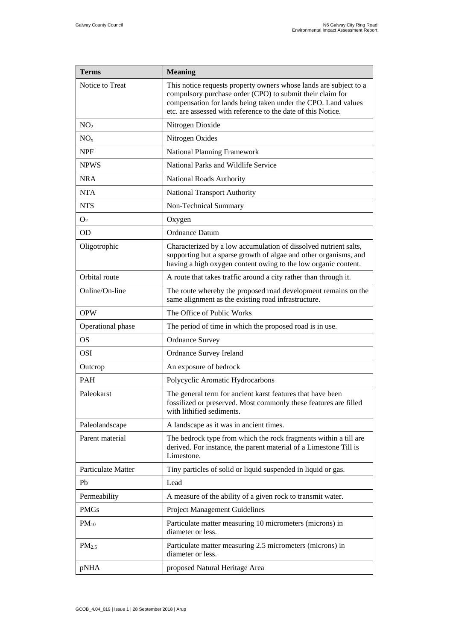| <b>Terms</b>       | <b>Meaning</b>                                                                                                                                                                                                                                                  |
|--------------------|-----------------------------------------------------------------------------------------------------------------------------------------------------------------------------------------------------------------------------------------------------------------|
| Notice to Treat    | This notice requests property owners whose lands are subject to a<br>compulsory purchase order (CPO) to submit their claim for<br>compensation for lands being taken under the CPO. Land values<br>etc. are assessed with reference to the date of this Notice. |
| NO <sub>2</sub>    | Nitrogen Dioxide                                                                                                                                                                                                                                                |
| NO <sub>x</sub>    | Nitrogen Oxides                                                                                                                                                                                                                                                 |
| <b>NPF</b>         | <b>National Planning Framework</b>                                                                                                                                                                                                                              |
| <b>NPWS</b>        | National Parks and Wildlife Service                                                                                                                                                                                                                             |
| <b>NRA</b>         | National Roads Authority                                                                                                                                                                                                                                        |
| <b>NTA</b>         | <b>National Transport Authority</b>                                                                                                                                                                                                                             |
| <b>NTS</b>         | Non-Technical Summary                                                                                                                                                                                                                                           |
| O <sub>2</sub>     | Oxygen                                                                                                                                                                                                                                                          |
| <b>OD</b>          | Ordnance Datum                                                                                                                                                                                                                                                  |
| Oligotrophic       | Characterized by a low accumulation of dissolved nutrient salts,<br>supporting but a sparse growth of algae and other organisms, and<br>having a high oxygen content owing to the low organic content.                                                          |
| Orbital route      | A route that takes traffic around a city rather than through it.                                                                                                                                                                                                |
| Online/On-line     | The route whereby the proposed road development remains on the<br>same alignment as the existing road infrastructure.                                                                                                                                           |
| <b>OPW</b>         | The Office of Public Works                                                                                                                                                                                                                                      |
| Operational phase  | The period of time in which the proposed road is in use.                                                                                                                                                                                                        |
| <b>OS</b>          | <b>Ordnance Survey</b>                                                                                                                                                                                                                                          |
| <b>OSI</b>         | Ordnance Survey Ireland                                                                                                                                                                                                                                         |
| Outcrop            | An exposure of bedrock                                                                                                                                                                                                                                          |
| PAH                | Polycyclic Aromatic Hydrocarbons                                                                                                                                                                                                                                |
| Paleokarst         | The general term for ancient karst features that have been<br>fossilized or preserved. Most commonly these features are filled<br>with lithified sediments.                                                                                                     |
| Paleolandscape     | A landscape as it was in ancient times.                                                                                                                                                                                                                         |
| Parent material    | The bedrock type from which the rock fragments within a till are<br>derived. For instance, the parent material of a Limestone Till is<br>Limestone.                                                                                                             |
| Particulate Matter | Tiny particles of solid or liquid suspended in liquid or gas.                                                                                                                                                                                                   |
| Pb                 | Lead                                                                                                                                                                                                                                                            |
| Permeability       | A measure of the ability of a given rock to transmit water.                                                                                                                                                                                                     |
| <b>PMGs</b>        | <b>Project Management Guidelines</b>                                                                                                                                                                                                                            |
| $PM_{10}$          | Particulate matter measuring 10 micrometers (microns) in<br>diameter or less.                                                                                                                                                                                   |
| PM <sub>2.5</sub>  | Particulate matter measuring 2.5 micrometers (microns) in<br>diameter or less.                                                                                                                                                                                  |
| pNHA               | proposed Natural Heritage Area                                                                                                                                                                                                                                  |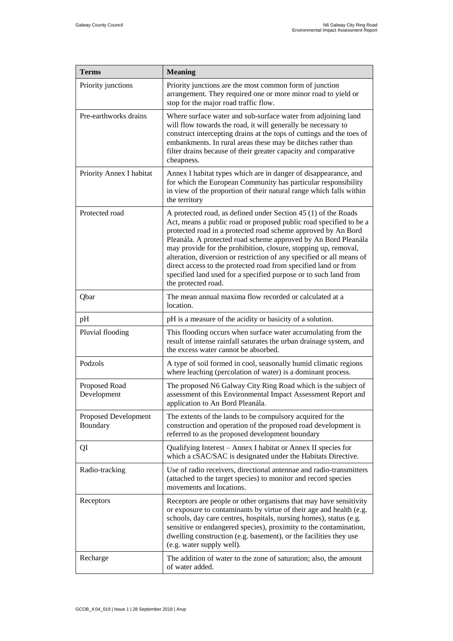| <b>Terms</b>                     | <b>Meaning</b>                                                                                                                                                                                                                                                                                                                                                                                                                                                                                                                                                                    |
|----------------------------------|-----------------------------------------------------------------------------------------------------------------------------------------------------------------------------------------------------------------------------------------------------------------------------------------------------------------------------------------------------------------------------------------------------------------------------------------------------------------------------------------------------------------------------------------------------------------------------------|
| Priority junctions               | Priority junctions are the most common form of junction<br>arrangement. They required one or more minor road to yield or<br>stop for the major road traffic flow.                                                                                                                                                                                                                                                                                                                                                                                                                 |
| Pre-earthworks drains            | Where surface water and sub-surface water from adjoining land<br>will flow towards the road, it will generally be necessary to<br>construct intercepting drains at the tops of cuttings and the toes of<br>embankments. In rural areas these may be ditches rather than<br>filter drains because of their greater capacity and comparative<br>cheapness.                                                                                                                                                                                                                          |
| Priority Annex I habitat         | Annex I habitat types which are in danger of disappearance, and<br>for which the European Community has particular responsibility<br>in view of the proportion of their natural range which falls within<br>the territory                                                                                                                                                                                                                                                                                                                                                         |
| Protected road                   | A protected road, as defined under Section 45 (1) of the Roads<br>Act, means a public road or proposed public road specified to be a<br>protected road in a protected road scheme approved by An Bord<br>Pleanála. A protected road scheme approved by An Bord Pleanála<br>may provide for the prohibition, closure, stopping up, removal,<br>alteration, diversion or restriction of any specified or all means of<br>direct access to the protected road from specified land or from<br>specified land used for a specified purpose or to such land from<br>the protected road. |
| Qbar                             | The mean annual maxima flow recorded or calculated at a<br>location.                                                                                                                                                                                                                                                                                                                                                                                                                                                                                                              |
| pH                               | pH is a measure of the acidity or basicity of a solution.                                                                                                                                                                                                                                                                                                                                                                                                                                                                                                                         |
| Pluvial flooding                 | This flooding occurs when surface water accumulating from the<br>result of intense rainfall saturates the urban drainage system, and<br>the excess water cannot be absorbed.                                                                                                                                                                                                                                                                                                                                                                                                      |
| Podzols                          | A type of soil formed in cool, seasonally humid climatic regions<br>where leaching (percolation of water) is a dominant process.                                                                                                                                                                                                                                                                                                                                                                                                                                                  |
| Proposed Road<br>Development     | The proposed N6 Galway City Ring Road which is the subject of<br>assessment of this Environmental Impact Assessment Report and<br>application to An Bord Pleanála.                                                                                                                                                                                                                                                                                                                                                                                                                |
| Proposed Development<br>Boundary | The extents of the lands to be compulsory acquired for the<br>construction and operation of the proposed road development is<br>referred to as the proposed development boundary                                                                                                                                                                                                                                                                                                                                                                                                  |
| QI                               | Qualifying Interest – Annex I habitat or Annex II species for<br>which a cSAC/SAC is designated under the Habitats Directive.                                                                                                                                                                                                                                                                                                                                                                                                                                                     |
| Radio-tracking                   | Use of radio receivers, directional antennae and radio-transmitters<br>(attached to the target species) to monitor and record species<br>movements and locations.                                                                                                                                                                                                                                                                                                                                                                                                                 |
| Receptors                        | Receptors are people or other organisms that may have sensitivity<br>or exposure to contaminants by virtue of their age and health (e.g.<br>schools, day care centres, hospitals, nursing homes), status (e.g.<br>sensitive or endangered species), proximity to the contamination,<br>dwelling construction (e.g. basement), or the facilities they use<br>(e.g. water supply well).                                                                                                                                                                                             |
| Recharge                         | The addition of water to the zone of saturation; also, the amount<br>of water added.                                                                                                                                                                                                                                                                                                                                                                                                                                                                                              |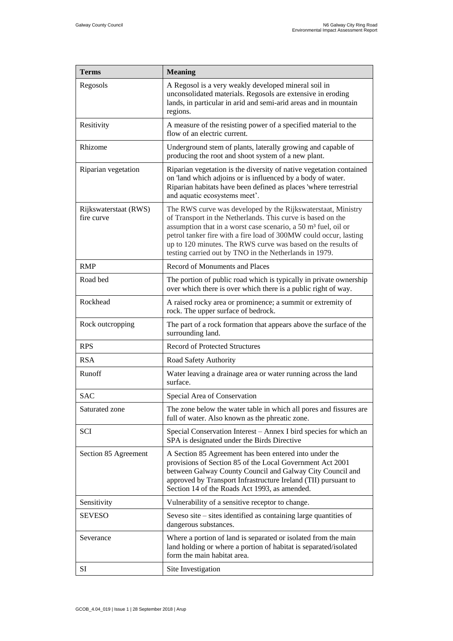| <b>Terms</b>                        | <b>Meaning</b>                                                                                                                                                                                                                                                                                                                                                                                           |
|-------------------------------------|----------------------------------------------------------------------------------------------------------------------------------------------------------------------------------------------------------------------------------------------------------------------------------------------------------------------------------------------------------------------------------------------------------|
| Regosols                            | A Regosol is a very weakly developed mineral soil in<br>unconsolidated materials. Regosols are extensive in eroding<br>lands, in particular in arid and semi-arid areas and in mountain<br>regions.                                                                                                                                                                                                      |
| Resitivity                          | A measure of the resisting power of a specified material to the<br>flow of an electric current.                                                                                                                                                                                                                                                                                                          |
| Rhizome                             | Underground stem of plants, laterally growing and capable of<br>producing the root and shoot system of a new plant.                                                                                                                                                                                                                                                                                      |
| Riparian vegetation                 | Riparian vegetation is the diversity of native vegetation contained<br>on 'land which adjoins or is influenced by a body of water.<br>Riparian habitats have been defined as places 'where terrestrial<br>and aquatic ecosystems meet'.                                                                                                                                                                  |
| Rijkswaterstaat (RWS)<br>fire curve | The RWS curve was developed by the Rijkswaterstaat, Ministry<br>of Transport in the Netherlands. This curve is based on the<br>assumption that in a worst case scenario, a 50 m <sup>3</sup> fuel, oil or<br>petrol tanker fire with a fire load of 300MW could occur, lasting<br>up to 120 minutes. The RWS curve was based on the results of<br>testing carried out by TNO in the Netherlands in 1979. |
| <b>RMP</b>                          | Record of Monuments and Places                                                                                                                                                                                                                                                                                                                                                                           |
| Road bed                            | The portion of public road which is typically in private ownership<br>over which there is over which there is a public right of way.                                                                                                                                                                                                                                                                     |
| Rockhead                            | A raised rocky area or prominence; a summit or extremity of<br>rock. The upper surface of bedrock.                                                                                                                                                                                                                                                                                                       |
| Rock outcropping                    | The part of a rock formation that appears above the surface of the<br>surrounding land.                                                                                                                                                                                                                                                                                                                  |
| <b>RPS</b>                          | <b>Record of Protected Structures</b>                                                                                                                                                                                                                                                                                                                                                                    |
| <b>RSA</b>                          | Road Safety Authority                                                                                                                                                                                                                                                                                                                                                                                    |
| Runoff                              | Water leaving a drainage area or water running across the land<br>surface.                                                                                                                                                                                                                                                                                                                               |
| <b>SAC</b>                          | Special Area of Conservation                                                                                                                                                                                                                                                                                                                                                                             |
| Saturated zone                      | The zone below the water table in which all pores and fissures are<br>full of water. Also known as the phreatic zone.                                                                                                                                                                                                                                                                                    |
| SCI                                 | Special Conservation Interest – Annex I bird species for which an<br>SPA is designated under the Birds Directive                                                                                                                                                                                                                                                                                         |
| Section 85 Agreement                | A Section 85 Agreement has been entered into under the<br>provisions of Section 85 of the Local Government Act 2001<br>between Galway County Council and Galway City Council and<br>approved by Transport Infrastructure Ireland (TII) pursuant to<br>Section 14 of the Roads Act 1993, as amended.                                                                                                      |
| Sensitivity                         | Vulnerability of a sensitive receptor to change.                                                                                                                                                                                                                                                                                                                                                         |
| <b>SEVESO</b>                       | Seveso site $-$ sites identified as containing large quantities of<br>dangerous substances.                                                                                                                                                                                                                                                                                                              |
| Severance                           | Where a portion of land is separated or isolated from the main<br>land holding or where a portion of habitat is separated/isolated<br>form the main habitat area.                                                                                                                                                                                                                                        |
| SI                                  | Site Investigation                                                                                                                                                                                                                                                                                                                                                                                       |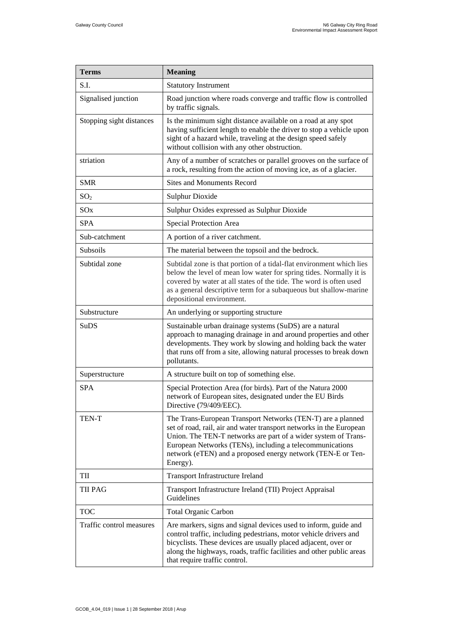| <b>Terms</b>             | <b>Meaning</b>                                                                                                                                                                                                                                                                                                                              |
|--------------------------|---------------------------------------------------------------------------------------------------------------------------------------------------------------------------------------------------------------------------------------------------------------------------------------------------------------------------------------------|
| S.I.                     | <b>Statutory Instrument</b>                                                                                                                                                                                                                                                                                                                 |
| Signalised junction      | Road junction where roads converge and traffic flow is controlled<br>by traffic signals.                                                                                                                                                                                                                                                    |
| Stopping sight distances | Is the minimum sight distance available on a road at any spot<br>having sufficient length to enable the driver to stop a vehicle upon<br>sight of a hazard while, traveling at the design speed safely<br>without collision with any other obstruction.                                                                                     |
| striation                | Any of a number of scratches or parallel grooves on the surface of<br>a rock, resulting from the action of moving ice, as of a glacier.                                                                                                                                                                                                     |
| <b>SMR</b>               | <b>Sites and Monuments Record</b>                                                                                                                                                                                                                                                                                                           |
| SO <sub>2</sub>          | <b>Sulphur Dioxide</b>                                                                                                                                                                                                                                                                                                                      |
| SO <sub>x</sub>          | Sulphur Oxides expressed as Sulphur Dioxide                                                                                                                                                                                                                                                                                                 |
| <b>SPA</b>               | Special Protection Area                                                                                                                                                                                                                                                                                                                     |
| Sub-catchment            | A portion of a river catchment.                                                                                                                                                                                                                                                                                                             |
| Subsoils                 | The material between the topsoil and the bedrock.                                                                                                                                                                                                                                                                                           |
| Subtidal zone            | Subtidal zone is that portion of a tidal-flat environment which lies<br>below the level of mean low water for spring tides. Normally it is<br>covered by water at all states of the tide. The word is often used<br>as a general descriptive term for a subaqueous but shallow-marine<br>depositional environment.                          |
| Substructure             | An underlying or supporting structure                                                                                                                                                                                                                                                                                                       |
| SuDS                     | Sustainable urban drainage systems (SuDS) are a natural<br>approach to managing drainage in and around properties and other<br>developments. They work by slowing and holding back the water<br>that runs off from a site, allowing natural processes to break down<br>pollutants.                                                          |
| Superstructure           | A structure built on top of something else.                                                                                                                                                                                                                                                                                                 |
| <b>SPA</b>               | Special Protection Area (for birds). Part of the Natura 2000<br>network of European sites, designated under the EU Birds<br>Directive (79/409/EEC).                                                                                                                                                                                         |
| <b>TEN-T</b>             | The Trans-European Transport Networks (TEN-T) are a planned<br>set of road, rail, air and water transport networks in the European<br>Union. The TEN-T networks are part of a wider system of Trans-<br>European Networks (TENs), including a telecommunications<br>network (eTEN) and a proposed energy network (TEN-E or Ten-<br>Energy). |
| TII                      | <b>Transport Infrastructure Ireland</b>                                                                                                                                                                                                                                                                                                     |
| <b>TII PAG</b>           | Transport Infrastructure Ireland (TII) Project Appraisal<br>Guidelines                                                                                                                                                                                                                                                                      |
| <b>TOC</b>               | <b>Total Organic Carbon</b>                                                                                                                                                                                                                                                                                                                 |
| Traffic control measures | Are markers, signs and signal devices used to inform, guide and<br>control traffic, including pedestrians, motor vehicle drivers and<br>bicyclists. These devices are usually placed adjacent, over or<br>along the highways, roads, traffic facilities and other public areas<br>that require traffic control.                             |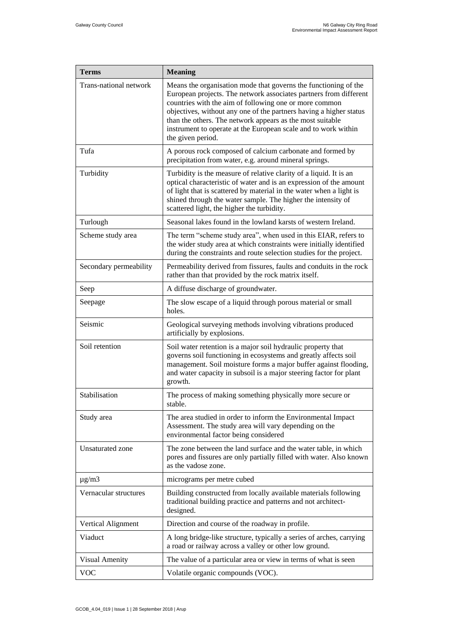| <b>Terms</b>            | <b>Meaning</b>                                                                                                                                                                                                                                                                                                                                                                                                           |
|-------------------------|--------------------------------------------------------------------------------------------------------------------------------------------------------------------------------------------------------------------------------------------------------------------------------------------------------------------------------------------------------------------------------------------------------------------------|
| Trans-national network  | Means the organisation mode that governs the functioning of the<br>European projects. The network associates partners from different<br>countries with the aim of following one or more common<br>objectives, without any one of the partners having a higher status<br>than the others. The network appears as the most suitable<br>instrument to operate at the European scale and to work within<br>the given period. |
| Tufa                    | A porous rock composed of calcium carbonate and formed by<br>precipitation from water, e.g. around mineral springs.                                                                                                                                                                                                                                                                                                      |
| Turbidity               | Turbidity is the measure of relative clarity of a liquid. It is an<br>optical characteristic of water and is an expression of the amount<br>of light that is scattered by material in the water when a light is<br>shined through the water sample. The higher the intensity of<br>scattered light, the higher the turbidity.                                                                                            |
| Turlough                | Seasonal lakes found in the lowland karsts of western Ireland.                                                                                                                                                                                                                                                                                                                                                           |
| Scheme study area       | The term "scheme study area", when used in this EIAR, refers to<br>the wider study area at which constraints were initially identified<br>during the constraints and route selection studies for the project.                                                                                                                                                                                                            |
| Secondary permeability  | Permeability derived from fissures, faults and conduits in the rock<br>rather than that provided by the rock matrix itself.                                                                                                                                                                                                                                                                                              |
| Seep                    | A diffuse discharge of groundwater.                                                                                                                                                                                                                                                                                                                                                                                      |
| Seepage                 | The slow escape of a liquid through porous material or small<br>holes.                                                                                                                                                                                                                                                                                                                                                   |
| Seismic                 | Geological surveying methods involving vibrations produced<br>artificially by explosions.                                                                                                                                                                                                                                                                                                                                |
| Soil retention          | Soil water retention is a major soil hydraulic property that<br>governs soil functioning in ecosystems and greatly affects soil<br>management. Soil moisture forms a major buffer against flooding,<br>and water capacity in subsoil is a major steering factor for plant<br>growth.                                                                                                                                     |
| Stabilisation           | The process of making something physically more secure or<br>stable.                                                                                                                                                                                                                                                                                                                                                     |
| Study area              | The area studied in order to inform the Environmental Impact<br>Assessment. The study area will vary depending on the<br>environmental factor being considered                                                                                                                                                                                                                                                           |
| <b>Unsaturated</b> zone | The zone between the land surface and the water table, in which<br>pores and fissures are only partially filled with water. Also known<br>as the vadose zone.                                                                                                                                                                                                                                                            |
| $\mu$ g/m $3$           | micrograms per metre cubed                                                                                                                                                                                                                                                                                                                                                                                               |
| Vernacular structures   | Building constructed from locally available materials following<br>traditional building practice and patterns and not architect-<br>designed.                                                                                                                                                                                                                                                                            |
| Vertical Alignment      | Direction and course of the roadway in profile.                                                                                                                                                                                                                                                                                                                                                                          |
| Viaduct                 | A long bridge-like structure, typically a series of arches, carrying<br>a road or railway across a valley or other low ground.                                                                                                                                                                                                                                                                                           |
| Visual Amenity          | The value of a particular area or view in terms of what is seen                                                                                                                                                                                                                                                                                                                                                          |
| VOC                     | Volatile organic compounds (VOC).                                                                                                                                                                                                                                                                                                                                                                                        |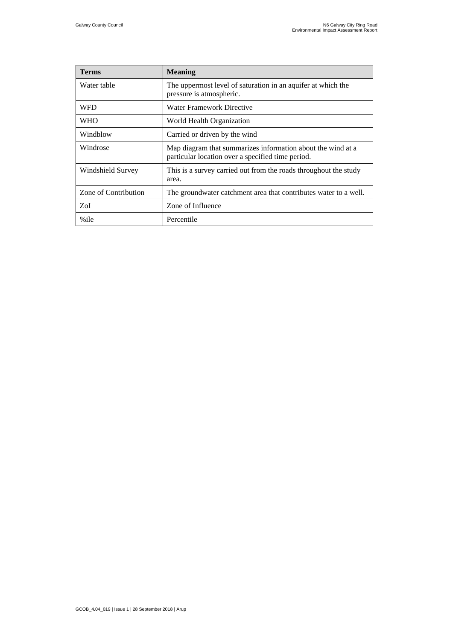| <b>Terms</b>         | <b>Meaning</b>                                                                                                   |
|----------------------|------------------------------------------------------------------------------------------------------------------|
| Water table          | The uppermost level of saturation in an aquifer at which the<br>pressure is atmospheric.                         |
| WFD                  | Water Framework Directive                                                                                        |
| WHO                  | World Health Organization                                                                                        |
| Windblow             | Carried or driven by the wind                                                                                    |
| Windrose             | Map diagram that summarizes information about the wind at a<br>particular location over a specified time period. |
| Windshield Survey    | This is a survey carried out from the roads throughout the study<br>area.                                        |
| Zone of Contribution | The groundwater catchment area that contributes water to a well.                                                 |
| ZoI                  | Zone of Influence                                                                                                |
| %ile                 | Percentile                                                                                                       |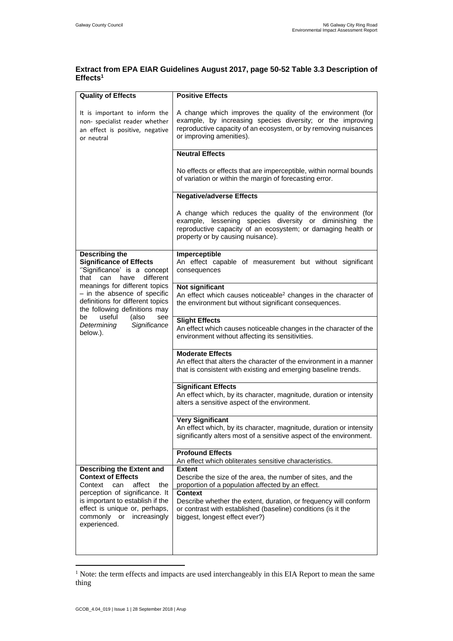## **Extract from EPA EIAR Guidelines August 2017, page 50-52 Table 3.3 Description of Effects<sup>1</sup>**

| <b>Quality of Effects</b>                                                                                                                                                                                                                                                                                                                   | <b>Positive Effects</b>                                                                                                                                                                                                    |
|---------------------------------------------------------------------------------------------------------------------------------------------------------------------------------------------------------------------------------------------------------------------------------------------------------------------------------------------|----------------------------------------------------------------------------------------------------------------------------------------------------------------------------------------------------------------------------|
| It is important to inform the<br>non- specialist reader whether<br>an effect is positive, negative<br>or neutral                                                                                                                                                                                                                            | A change which improves the quality of the environment (for<br>example, by increasing species diversity; or the improving<br>reproductive capacity of an ecosystem, or by removing nuisances<br>or improving amenities).   |
|                                                                                                                                                                                                                                                                                                                                             | <b>Neutral Effects</b>                                                                                                                                                                                                     |
|                                                                                                                                                                                                                                                                                                                                             | No effects or effects that are imperceptible, within normal bounds<br>of variation or within the margin of forecasting error.                                                                                              |
|                                                                                                                                                                                                                                                                                                                                             | <b>Negative/adverse Effects</b>                                                                                                                                                                                            |
|                                                                                                                                                                                                                                                                                                                                             | A change which reduces the quality of the environment (for<br>example, lessening species diversity or diminishing the<br>reproductive capacity of an ecosystem; or damaging health or<br>property or by causing nuisance). |
| <b>Describing the</b><br><b>Significance of Effects</b><br>"Significance' is a concept<br>can<br>different<br>have<br>that<br>meanings for different topics<br>- in the absence of specific<br>definitions for different topics<br>the following definitions may<br>useful<br>be<br>(also<br>see<br>Determining<br>Significance<br>below.). | Imperceptible<br>An effect capable of measurement but without significant<br>consequences                                                                                                                                  |
|                                                                                                                                                                                                                                                                                                                                             | Not significant<br>An effect which causes noticeable <sup>2</sup> changes in the character of<br>the environment but without significant consequences.                                                                     |
|                                                                                                                                                                                                                                                                                                                                             | <b>Slight Effects</b><br>An effect which causes noticeable changes in the character of the<br>environment without affecting its sensitivities.                                                                             |
|                                                                                                                                                                                                                                                                                                                                             | <b>Moderate Effects</b><br>An effect that alters the character of the environment in a manner<br>that is consistent with existing and emerging baseline trends.                                                            |
|                                                                                                                                                                                                                                                                                                                                             | <b>Significant Effects</b><br>An effect which, by its character, magnitude, duration or intensity<br>alters a sensitive aspect of the environment.                                                                         |
|                                                                                                                                                                                                                                                                                                                                             | <b>Very Significant</b><br>An effect which, by its character, magnitude, duration or intensity<br>significantly alters most of a sensitive aspect of the environment.                                                      |
|                                                                                                                                                                                                                                                                                                                                             | <b>Profound Effects</b><br>An effect which obliterates sensitive characteristics.                                                                                                                                          |
| <b>Describing the Extent and</b><br><b>Context of Effects</b><br>Context<br>can<br>affect<br>the<br>perception of significance. It<br>is important to establish if the<br>effect is unique or, perhaps,<br>commonly or<br>increasingly<br>experienced.                                                                                      | <b>Extent</b><br>Describe the size of the area, the number of sites, and the<br>proportion of a population affected by an effect.                                                                                          |
|                                                                                                                                                                                                                                                                                                                                             | <b>Context</b><br>Describe whether the extent, duration, or frequency will conform<br>or contrast with established (baseline) conditions (is it the<br>biggest, longest effect ever?)                                      |
|                                                                                                                                                                                                                                                                                                                                             |                                                                                                                                                                                                                            |

<sup>&</sup>lt;sup>1</sup> Note: the term effects and impacts are used interchangeably in this EIA Report to mean the same thing

 $\overline{a}$